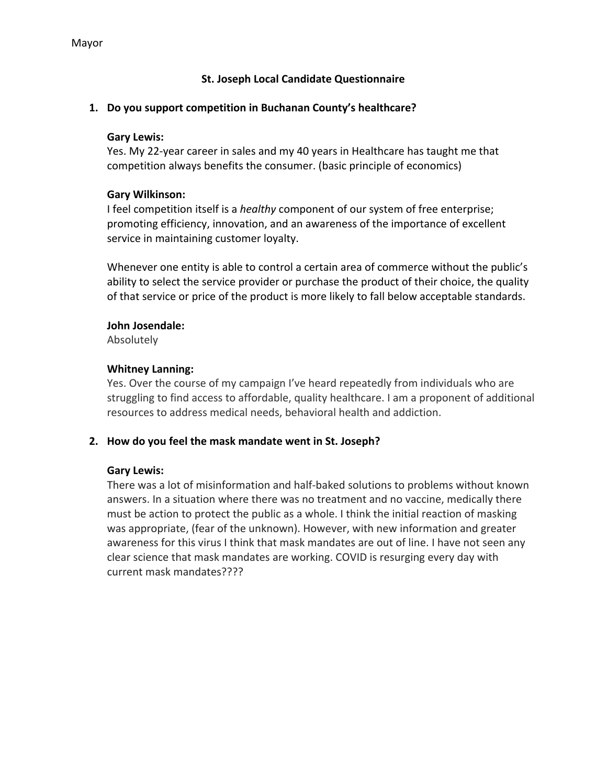## **St. Joseph Local Candidate Questionnaire**

### **1. Do you support competition in Buchanan County's healthcare?**

### **Gary Lewis:**

Yes. My 22-year career in sales and my 40 years in Healthcare has taught me that competition always benefits the consumer. (basic principle of economics)

## **Gary Wilkinson:**

I feel competition itself is a *healthy* component of our system of free enterprise; promoting efficiency, innovation, and an awareness of the importance of excellent service in maintaining customer loyalty.

Whenever one entity is able to control a certain area of commerce without the public's ability to select the service provider or purchase the product of their choice, the quality of that service or price of the product is more likely to fall below acceptable standards.

## **John Josendale:**

Absolutely

## **Whitney Lanning:**

Yes. Over the course of my campaign I've heard repeatedly from individuals who are struggling to find access to affordable, quality healthcare. I am a proponent of additional resources to address medical needs, behavioral health and addiction.

## **2. How do you feel the mask mandate went in St. Joseph?**

### **Gary Lewis:**

There was a lot of misinformation and half-baked solutions to problems without known answers. In a situation where there was no treatment and no vaccine, medically there must be action to protect the public as a whole. I think the initial reaction of masking was appropriate, (fear of the unknown). However, with new information and greater awareness for this virus I think that mask mandates are out of line. I have not seen any clear science that mask mandates are working. COVID is resurging every day with current mask mandates????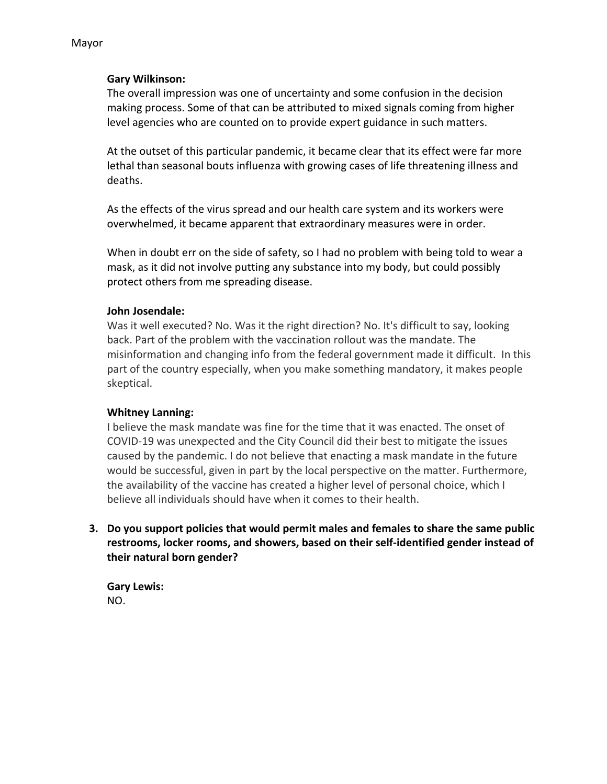## **Gary Wilkinson:**

The overall impression was one of uncertainty and some confusion in the decision making process. Some of that can be attributed to mixed signals coming from higher level agencies who are counted on to provide expert guidance in such matters.

At the outset of this particular pandemic, it became clear that its effect were far more lethal than seasonal bouts influenza with growing cases of life threatening illness and deaths.

As the effects of the virus spread and our health care system and its workers were overwhelmed, it became apparent that extraordinary measures were in order.

When in doubt err on the side of safety, so I had no problem with being told to wear a mask, as it did not involve putting any substance into my body, but could possibly protect others from me spreading disease.

### **John Josendale:**

Was it well executed? No. Was it the right direction? No. It's difficult to say, looking back. Part of the problem with the vaccination rollout was the mandate. The misinformation and changing info from the federal government made it difficult. In this part of the country especially, when you make something mandatory, it makes people skeptical.

### **Whitney Lanning:**

I believe the mask mandate was fine for the time that it was enacted. The onset of COVID-19 was unexpected and the City Council did their best to mitigate the issues caused by the pandemic. I do not believe that enacting a mask mandate in the future would be successful, given in part by the local perspective on the matter. Furthermore, the availability of the vaccine has created a higher level of personal choice, which I believe all individuals should have when it comes to their health.

**3. Do you support policies that would permit males and females to share the same public restrooms, locker rooms, and showers, based on their self-identified gender instead of their natural born gender?**

**Gary Lewis:** NO.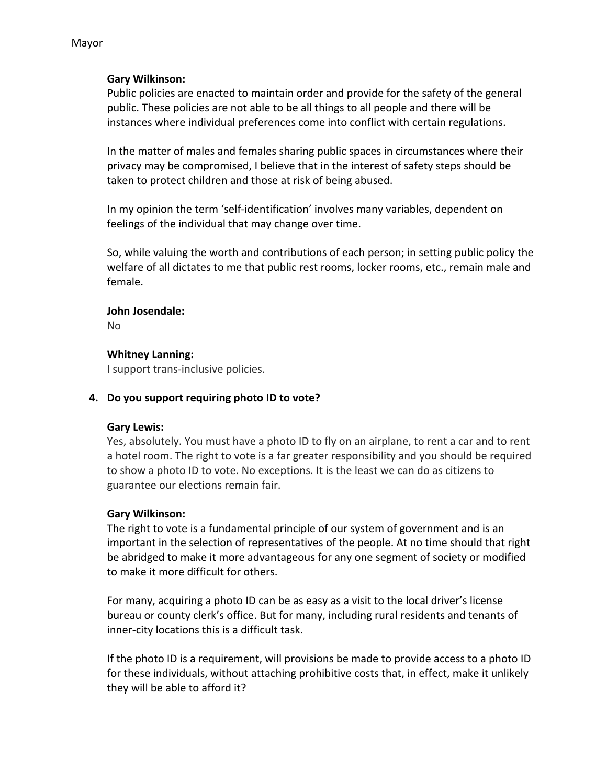#### Mayor

### **Gary Wilkinson:**

Public policies are enacted to maintain order and provide for the safety of the general public. These policies are not able to be all things to all people and there will be instances where individual preferences come into conflict with certain regulations.

In the matter of males and females sharing public spaces in circumstances where their privacy may be compromised, I believe that in the interest of safety steps should be taken to protect children and those at risk of being abused.

In my opinion the term 'self-identification' involves many variables, dependent on feelings of the individual that may change over time.

So, while valuing the worth and contributions of each person; in setting public policy the welfare of all dictates to me that public rest rooms, locker rooms, etc., remain male and female.

#### **John Josendale:**

No

### **Whitney Lanning:**

I support trans-inclusive policies.

### **4. Do you support requiring photo ID to vote?**

### **Gary Lewis:**

Yes, absolutely. You must have a photo ID to fly on an airplane, to rent a car and to rent a hotel room. The right to vote is a far greater responsibility and you should be required to show a photo ID to vote. No exceptions. It is the least we can do as citizens to guarantee our elections remain fair.

### **Gary Wilkinson:**

The right to vote is a fundamental principle of our system of government and is an important in the selection of representatives of the people. At no time should that right be abridged to make it more advantageous for any one segment of society or modified to make it more difficult for others.

For many, acquiring a photo ID can be as easy as a visit to the local driver's license bureau or county clerk's office. But for many, including rural residents and tenants of inner-city locations this is a difficult task.

If the photo ID is a requirement, will provisions be made to provide access to a photo ID for these individuals, without attaching prohibitive costs that, in effect, make it unlikely they will be able to afford it?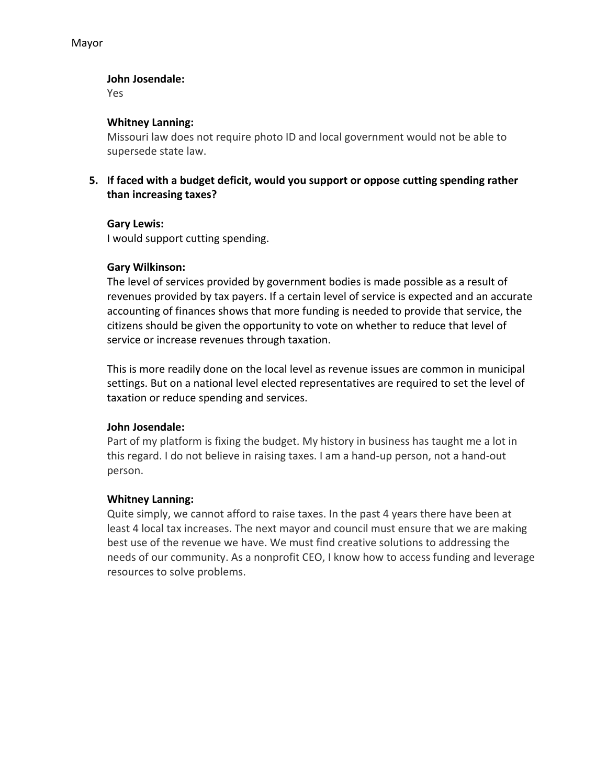### **John Josendale:**

Yes

## **Whitney Lanning:**

Missouri law does not require photo ID and local government would not be able to supersede state law.

**5. If faced with a budget deficit, would you support or oppose cutting spending rather than increasing taxes?**

### **Gary Lewis:**

I would support cutting spending.

## **Gary Wilkinson:**

The level of services provided by government bodies is made possible as a result of revenues provided by tax payers. If a certain level of service is expected and an accurate accounting of finances shows that more funding is needed to provide that service, the citizens should be given the opportunity to vote on whether to reduce that level of service or increase revenues through taxation.

This is more readily done on the local level as revenue issues are common in municipal settings. But on a national level elected representatives are required to set the level of taxation or reduce spending and services.

### **John Josendale:**

Part of my platform is fixing the budget. My history in business has taught me a lot in this regard. I do not believe in raising taxes. I am a hand-up person, not a hand-out person.

### **Whitney Lanning:**

Quite simply, we cannot afford to raise taxes. In the past 4 years there have been at least 4 local tax increases. The next mayor and council must ensure that we are making best use of the revenue we have. We must find creative solutions to addressing the needs of our community. As a nonprofit CEO, I know how to access funding and leverage resources to solve problems.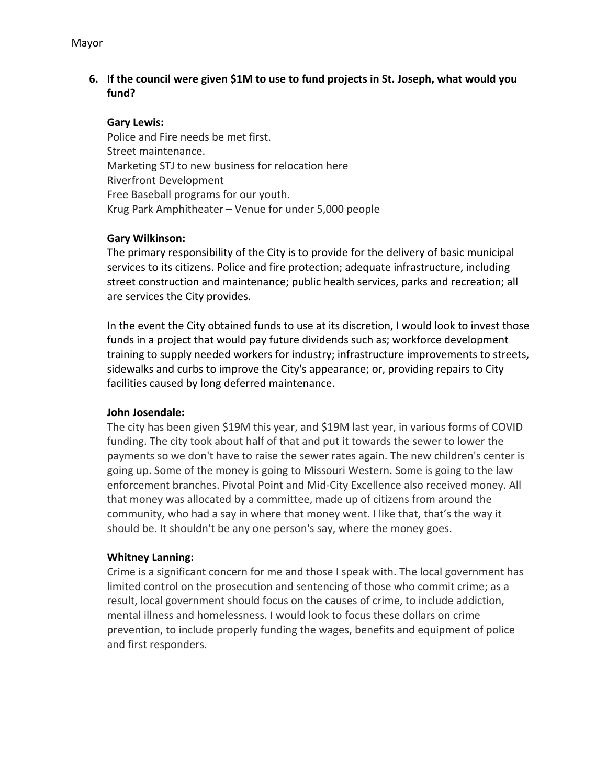## **6. If the council were given \$1M to use to fund projects in St. Joseph, what would you fund?**

### **Gary Lewis:**

Police and Fire needs be met first. Street maintenance. Marketing STJ to new business for relocation here Riverfront Development Free Baseball programs for our youth. Krug Park Amphitheater – Venue for under 5,000 people

#### **Gary Wilkinson:**

The primary responsibility of the City is to provide for the delivery of basic municipal services to its citizens. Police and fire protection; adequate infrastructure, including street construction and maintenance; public health services, parks and recreation; all are services the City provides.

In the event the City obtained funds to use at its discretion, I would look to invest those funds in a project that would pay future dividends such as; workforce development training to supply needed workers for industry; infrastructure improvements to streets, sidewalks and curbs to improve the City's appearance; or, providing repairs to City facilities caused by long deferred maintenance.

### **John Josendale:**

The city has been given \$19M this year, and \$19M last year, in various forms of COVID funding. The city took about half of that and put it towards the sewer to lower the payments so we don't have to raise the sewer rates again. The new children's center is going up. Some of the money is going to Missouri Western. Some is going to the law enforcement branches. Pivotal Point and Mid-City Excellence also received money. All that money was allocated by a committee, made up of citizens from around the community, who had a say in where that money went. I like that, that's the way it should be. It shouldn't be any one person's say, where the money goes.

### **Whitney Lanning:**

Crime is a significant concern for me and those I speak with. The local government has limited control on the prosecution and sentencing of those who commit crime; as a result, local government should focus on the causes of crime, to include addiction, mental illness and homelessness. I would look to focus these dollars on crime prevention, to include properly funding the wages, benefits and equipment of police and first responders.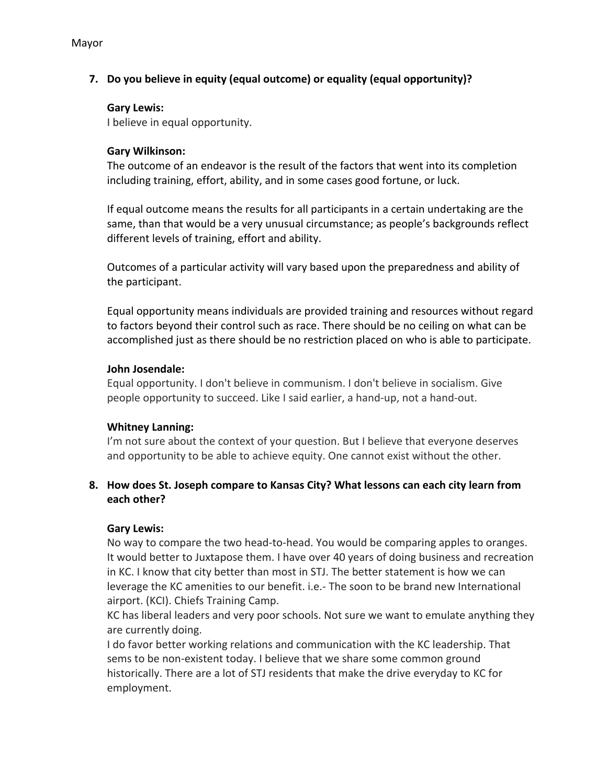## **7. Do you believe in equity (equal outcome) or equality (equal opportunity)?**

## **Gary Lewis:**

I believe in equal opportunity.

## **Gary Wilkinson:**

The outcome of an endeavor is the result of the factors that went into its completion including training, effort, ability, and in some cases good fortune, or luck.

If equal outcome means the results for all participants in a certain undertaking are the same, than that would be a very unusual circumstance; as people's backgrounds reflect different levels of training, effort and ability.

Outcomes of a particular activity will vary based upon the preparedness and ability of the participant.

Equal opportunity means individuals are provided training and resources without regard to factors beyond their control such as race. There should be no ceiling on what can be accomplished just as there should be no restriction placed on who is able to participate.

### **John Josendale:**

Equal opportunity. I don't believe in communism. I don't believe in socialism. Give people opportunity to succeed. Like I said earlier, a hand-up, not a hand-out.

## **Whitney Lanning:**

I'm not sure about the context of your question. But I believe that everyone deserves and opportunity to be able to achieve equity. One cannot exist without the other.

## **8. How does St. Joseph compare to Kansas City? What lessons can each city learn from each other?**

## **Gary Lewis:**

No way to compare the two head-to-head. You would be comparing apples to oranges. It would better to Juxtapose them. I have over 40 years of doing business and recreation in KC. I know that city better than most in STJ. The better statement is how we can leverage the KC amenities to our benefit. i.e.- The soon to be brand new International airport. (KCI). Chiefs Training Camp.

KC has liberal leaders and very poor schools. Not sure we want to emulate anything they are currently doing.

I do favor better working relations and communication with the KC leadership. That sems to be non-existent today. I believe that we share some common ground historically. There are a lot of STJ residents that make the drive everyday to KC for employment.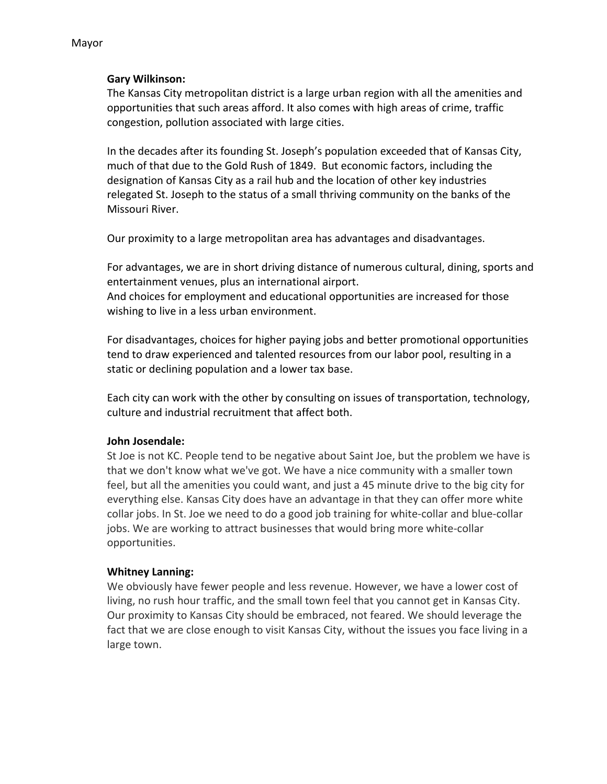# Mayor

#### **Gary Wilkinson:**

The Kansas City metropolitan district is a large urban region with all the amenities and opportunities that such areas afford. It also comes with high areas of crime, traffic congestion, pollution associated with large cities.

In the decades after its founding St. Joseph's population exceeded that of Kansas City, much of that due to the Gold Rush of 1849. But economic factors, including the designation of Kansas City as a rail hub and the location of other key industries relegated St. Joseph to the status of a small thriving community on the banks of the Missouri River.

Our proximity to a large metropolitan area has advantages and disadvantages.

For advantages, we are in short driving distance of numerous cultural, dining, sports and entertainment venues, plus an international airport. And choices for employment and educational opportunities are increased for those wishing to live in a less urban environment.

For disadvantages, choices for higher paying jobs and better promotional opportunities tend to draw experienced and talented resources from our labor pool, resulting in a static or declining population and a lower tax base.

Each city can work with the other by consulting on issues of transportation, technology, culture and industrial recruitment that affect both.

### **John Josendale:**

St Joe is not KC. People tend to be negative about Saint Joe, but the problem we have is that we don't know what we've got. We have a nice community with a smaller town feel, but all the amenities you could want, and just a 45 minute drive to the big city for everything else. Kansas City does have an advantage in that they can offer more white collar jobs. In St. Joe we need to do a good job training for white-collar and blue-collar jobs. We are working to attract businesses that would bring more white-collar opportunities.

### **Whitney Lanning:**

We obviously have fewer people and less revenue. However, we have a lower cost of living, no rush hour traffic, and the small town feel that you cannot get in Kansas City. Our proximity to Kansas City should be embraced, not feared. We should leverage the fact that we are close enough to visit Kansas City, without the issues you face living in a large town.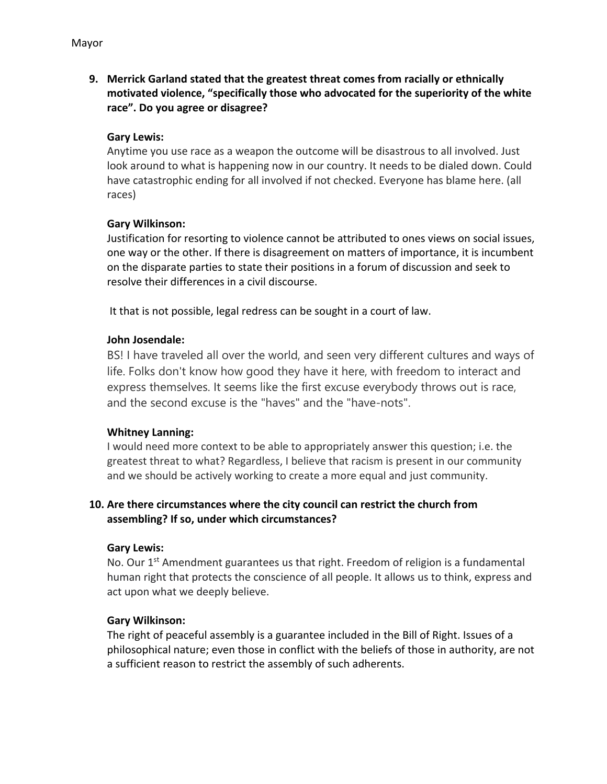**9. Merrick Garland stated that the greatest threat comes from racially or ethnically motivated violence, "specifically those who advocated for the superiority of the white race". Do you agree or disagree?**

## **Gary Lewis:**

Anytime you use race as a weapon the outcome will be disastrous to all involved. Just look around to what is happening now in our country. It needs to be dialed down. Could have catastrophic ending for all involved if not checked. Everyone has blame here. (all races)

### **Gary Wilkinson:**

Justification for resorting to violence cannot be attributed to ones views on social issues, one way or the other. If there is disagreement on matters of importance, it is incumbent on the disparate parties to state their positions in a forum of discussion and seek to resolve their differences in a civil discourse.

It that is not possible, legal redress can be sought in a court of law.

## **John Josendale:**

BS! I have traveled all over the world, and seen very different cultures and ways of life. Folks don't know how good they have it here, with freedom to interact and express themselves. It seems like the first excuse everybody throws out is race, and the second excuse is the "haves" and the "have-nots".

### **Whitney Lanning:**

I would need more context to be able to appropriately answer this question; i.e. the greatest threat to what? Regardless, I believe that racism is present in our community and we should be actively working to create a more equal and just community.

## **10. Are there circumstances where the city council can restrict the church from assembling? If so, under which circumstances?**

### **Gary Lewis:**

No. Our  $1<sup>st</sup>$  Amendment guarantees us that right. Freedom of religion is a fundamental human right that protects the conscience of all people. It allows us to think, express and act upon what we deeply believe.

### **Gary Wilkinson:**

The right of peaceful assembly is a guarantee included in the Bill of Right. Issues of a philosophical nature; even those in conflict with the beliefs of those in authority, are not a sufficient reason to restrict the assembly of such adherents.